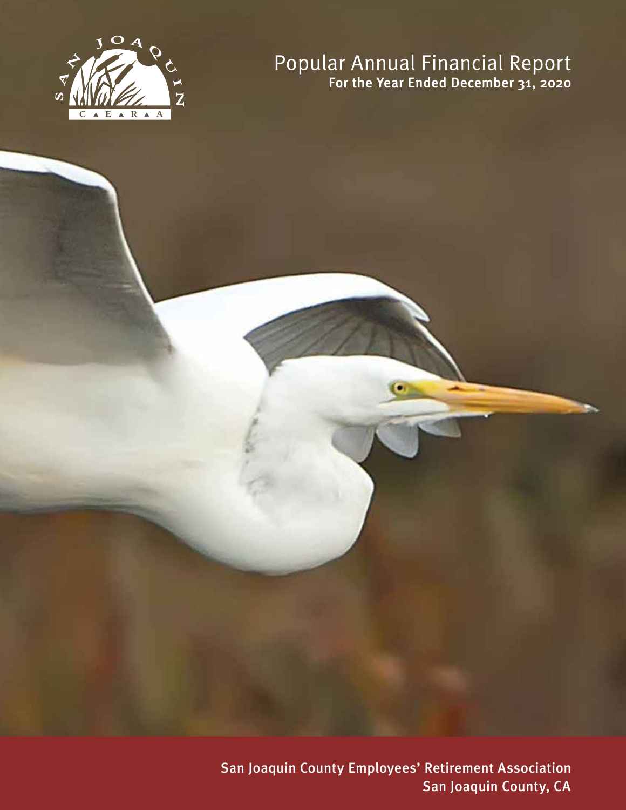

# Popular Annual Financial Report<br>For the Year Ended December 31, 2020

San Joaquin County Employees' Retirement Association San Joaquin County, CA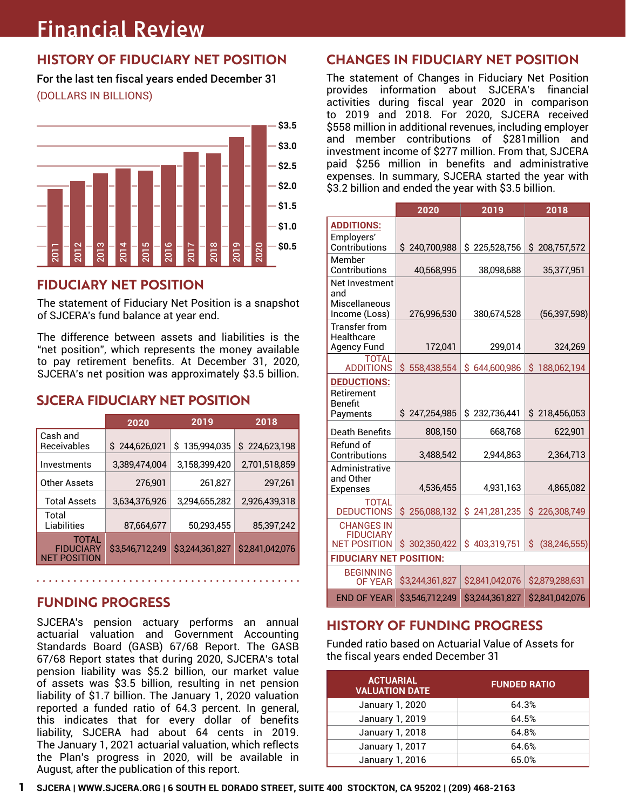# Financial Review

# **HISTORY OF FIDUCIARY NET POSITION**

For the last ten fiscal years ended December 31 (DOLLARS IN BILLIONS)



# **FIDUCIARY NET POSITION**

The statement of Fiduciary Net Position is a snapshot of SJCERA's fund balance at year end.

The difference between assets and liabilities is the "net position", which represents the money available to pay retirement benefits. At December 31, 2020, SJCERA's net position was approximately \$3.5 billion.

# **SJCERA FIDUCIARY NET POSITION**

|                                                         | 2020            | 2019            | 2018            |
|---------------------------------------------------------|-----------------|-----------------|-----------------|
| Cash and<br>Receivables                                 | \$244,626,021   | \$135,994,035   | \$224,623,198   |
| Investments                                             | 3,389,474,004   | 3,158,399,420   | 2,701,518,859   |
| Other Assets                                            | 276,901         | 261,827         | 297,261         |
| <b>Total Assets</b>                                     | 3,634,376,926   | 3,294,655,282   | 2,926,439,318   |
| Total<br>Liabilities                                    | 87,664,677      | 50,293,455      | 85,397,242      |
| <b>TOTAL</b><br><b>FIDUCIARY</b><br><b>NET POSITION</b> | \$3,546,712,249 | \$3,244,361,827 | \$2,841,042,076 |

# **FUNDING PROGRESS**

SJCERA's pension actuary performs an annual actuarial valuation and Government Accounting Standards Board (GASB) 67/68 Report. The GASB 67/68 Report states that during 2020, SJCERA's total pension liability was \$5.2 billion, our market value of assets was \$3.5 billion, resulting in net pension liability of \$1.7 billion. The January 1, 2020 valuation reported a funded ratio of 64.3 percent. In general, this indicates that for every dollar of benefits liability, SJCERA had about 64 cents in 2019. The January 1, 2021 actuarial valuation, which reflects the Plan's progress in 2020, will be available in August, after the publication of this report.

# **CHANGES IN FIDUCIARY NET POSITION**

The statement of Changes in Fiduciary Net Position provides information about SJCERA's financial activities during fiscal year 2020 in comparison to 2019 and 2018. For 2020, SJCERA received \$558 million in additional revenues, including employer and member contributions of \$281million and investment income of \$277 million. From that, SJCERA paid \$256 million in benefits and administrative expenses. In summary, SJCERA started the year with \$3.2 billion and ended the year with \$3.5 billion.

|                                                              | 2020             | 2019            | 2018                |
|--------------------------------------------------------------|------------------|-----------------|---------------------|
| <b>ADDITIONS:</b><br>Employers'<br>Contributions             | \$240,700,988    | \$225,528,756   | Ś.<br>208,757,572   |
| Member<br>Contributions                                      | 40,568,995       | 38,098,688      | 35,377,951          |
| Net Investment<br>and<br>Miscellaneous<br>Income (Loss)      | 276,996,530      | 380,674,528     | (56, 397, 598)      |
| <b>Transfer from</b><br>Healthcare<br>Agency Fund            | 172,041          | 299,014         | 324,269             |
| TOTAL<br><b>ADDITIONS</b>                                    | \$558,438,554    | \$644,600,986   | Ś.<br>188,062,194   |
| <b>DEDUCTIONS:</b><br>Retirement<br>Benefit<br>Payments      | \$247,254,985    | \$232,736,441   | Ś.<br>218,456,053   |
| Death Benefits                                               | 808,150          | 668,768         | 622,901             |
| Refund of<br>Contributions                                   | 3.488.542        | 2.944.863       | 2,364,713           |
| Administrative<br>and Other<br>Expenses                      | 4,536,455        | 4,931,163       | 4,865,082           |
| <b>TOTAL</b><br><b>DEDUCTIONS</b>                            | \$256,088,132    | \$241,281,235   | \$226,308,749       |
| <b>CHANGES IN</b><br><b>FIDUCIARY</b><br><b>NET POSITION</b> | \$302,350,422    | \$403,319,751   | Ś<br>(38, 246, 555) |
| <b>FIDUCIARY NET</b>                                         | <b>POSITION:</b> |                 |                     |
| <b>BEGINNING</b><br><b>OF YFAR</b>                           | \$3,244,361,827  | \$2,841,042,076 | \$2,879,288,631     |
| <b>END OF YEAR</b>                                           | \$3,546,712,249  | \$3,244,361,827 | \$2,841,042,076     |

# **HISTORY OF FUNDING PROGRESS**

Funded ratio based on Actuarial Value of Assets for the fiscal years ended December 31

| <b>ACTUARIAL</b><br><b>VALUATION DATE</b> | <b>FUNDED RATIO</b> |
|-------------------------------------------|---------------------|
| January 1, 2020                           | 64.3%               |
| January 1, 2019                           | 64.5%               |
| January 1, 2018                           | 64.8%               |
| January 1, 2017                           | 64.6%               |
| January 1, 2016                           | 65.0%               |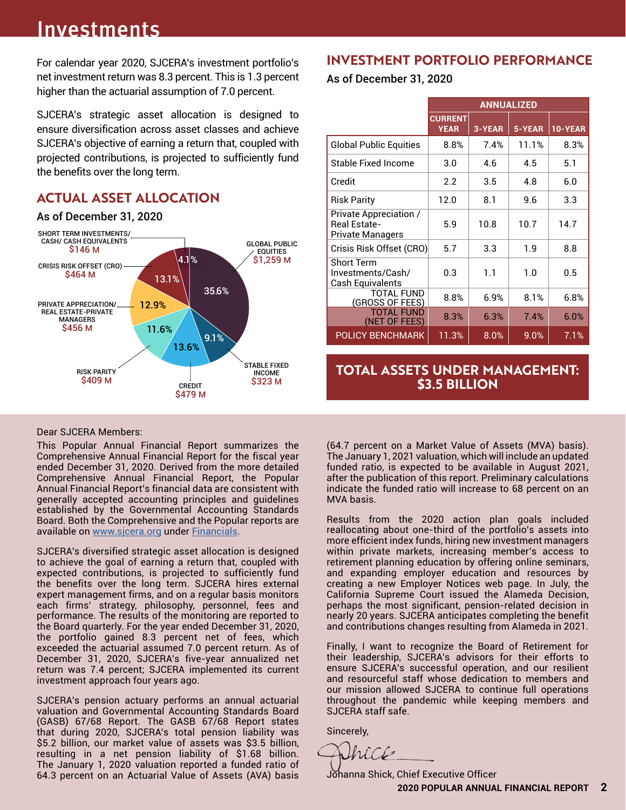# **Investments**

For calendar year 2020, SJCERA's investment portfolio's net investment return was 8.3 percent. This is 1.3 percent higher than the actuarial assumption of 7.0 percent.

SJCERA's strategic asset allocation is designed to ensure diversification across asset classes and achieve SJCERA's objective of earning a return that, coupled with projected contributions, is projected to sufficiently fund the benefits over the long term.

# **ACTUAL ASSET ALLOCATION**



### Dear SJCERA Members:

This Popular Annual Financial Report summarizes the Comprehensive Annual Financial Report for the fiscal year ended December 31, 2020. Derived from the more detailed Comprehensive Annual Financial Report, the Popular Annual Financial Report's financial data are consistent with generally accepted accounting principles and guidelines established by the Governmental Accounting Standards Board. Both the Comprehensive and the Popular reports are available on [www.sjcera.org](http://www.sjcera.org) under [Financials](https://www.sjcera.org/new_website/05financials/financial-reports.html).

SJCERA's diversified strategic asset allocation is designed to achieve the goal of earning a return that, coupled with expected contributions, is projected to sufficiently fund the benefits over the long term. SJCERA hires external expert management firms, and on a regular basis monitors each firms' strategy, philosophy, personnel, fees and performance. The results of the monitoring are reported to the Board quarterly. For the year ended December 31, 2020, the portfolio gained 8.3 percent net of fees, which exceeded the actuarial assumed 7.0 percent return. As of December 31, 2020, SJCERA's five-year annualized net return was 7.4 percent; SJCERA implemented its current investment approach four years ago.

SJCERA's pension actuary performs an annual actuarial valuation and Governmental Accounting Standards Board (GASB) 67/68 Report. The GASB 67/68 Report states that during 2020, SJCERA's total pension liability was \$5.2 billion, our market value of assets was \$3.5 billion, resulting in a net pension liability of \$1.68 billion. The January 1, 2020 valuation reported a funded ratio of 64.3 percent on an Actuarial Value of Assets (AVA) basis

# **INVESTMENT PORTFOLIO PERFORMANCE**

As of December 31, 2020

|                                                                   | <b>ANNUALIZED</b>             |        |        |         |
|-------------------------------------------------------------------|-------------------------------|--------|--------|---------|
|                                                                   | <b>CURRENT</b><br><b>YEAR</b> | 3-YEAR | 5-YEAR | 10-YEAR |
| <b>Global Public Equities</b>                                     | 8.8%                          | 7.4%   | 11.1%  | 8.3%    |
| Stable Fixed Income                                               | 3.0                           | 4.6    | 4.5    | 5.1     |
| Credit                                                            | 2.2                           | 3.5    | 4.8    | 6.0     |
| <b>Risk Parity</b>                                                | 12.0                          | 8.1    | 9.6    | 3.3     |
| Private Appreciation /<br><b>Real Estate-</b><br>Private Managers | 5.9                           | 10.8   | 10.7   | 14.7    |
| Crisis Risk Offset (CRO)                                          | 5.7                           | 3.3    | 1.9    | 8.8     |
| <b>Short Term</b><br>Investments/Cash/<br>Cash Equivalents        | 0.3                           | 1.1    | 1.0    | 0.5     |
| <b>TOTAL FUND</b><br>(GROSS OF FEES)                              | 8.8%                          | 6.9%   | 8.1%   | 6.8%    |
| <b>TOTAL FUND</b><br>(NET OF FEES)                                | 8.3%                          | 6.3%   | 7.4%   | 6.0%    |
| <b>POLICY BENCHMARK</b>                                           | 11.3%                         | 8.0%   | 9.0%   | 7.1%    |

### **TOTAL ASSETS UNDER MANAGEMENT: \$3.5 BILLION**

(64.7 percent on a Market Value of Assets (MVA) basis). The January 1, 2021 valuation, which will include an updated funded ratio, is expected to be available in August 2021, after the publication of this report. Preliminary calculations indicate the funded ratio will increase to 68 percent on an MVA basis.

Results from the 2020 action plan goals included reallocating about one-third of the portfolio's assets into more efficient index funds, hiring new investment managers within private markets, increasing member's access to retirement planning education by offering online seminars, and expanding employer education and resources by creating a new Employer Notices web page. In July, the California Supreme Court issued the Alameda Decision, perhaps the most significant, pension-related decision in nearly 20 years. SJCERA anticipates completing the benefit and contributions changes resulting from Alameda in 2021.

Finally, I want to recognize the Board of Retirement for their leadership, SJCERA's advisors for their efforts to ensure SJCERA's successful operation, and our resilient and resourceful staff whose dedication to members and our mission allowed SJCERA to continue full operations throughout the pandemic while keeping members and SJCERA staff safe.

Sincerely,

hick

Johanna Shick, Chief Executive Officer **2020 POPULAR ANNUAL FINANCIAL REPORT 2**